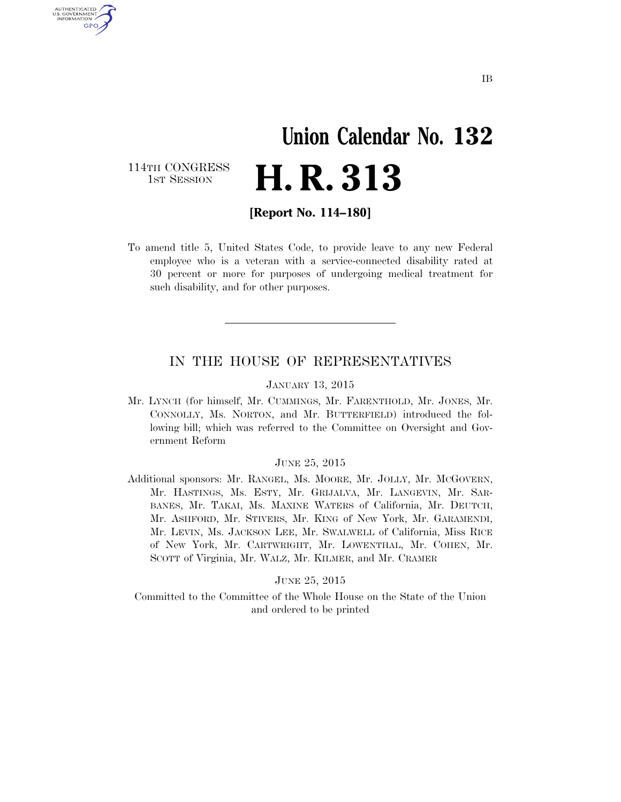# **Union Calendar No. 132**  H. R. 313

114TH CONGRESS<br>1st Session

U.S. GOVERNMENT GPO

**[Report No. 114–180]** 

To amend title 5, United States Code, to provide leave to any new Federal employee who is a veteran with a service-connected disability rated at 30 percent or more for purposes of undergoing medical treatment for such disability, and for other purposes.

### IN THE HOUSE OF REPRESENTATIVES

#### JANUARY 13, 2015

Mr. LYNCH (for himself, Mr. CUMMINGS, Mr. FARENTHOLD, Mr. JONES, Mr. CONNOLLY, Ms. NORTON, and Mr. BUTTERFIELD) introduced the following bill; which was referred to the Committee on Oversight and Government Reform

### JUNE 25, 2015

Additional sponsors: Mr. RANGEL, Ms. MOORE, Mr. JOLLY, Mr. MCGOVERN, Mr. HASTINGS, Ms. ESTY, Mr. GRIJALVA, Mr. LANGEVIN, Mr. SAR-BANES, Mr. TAKAI, Ms. MAXINE WATERS of California, Mr. DEUTCH, Mr. ASHFORD, Mr. STIVERS, Mr. KING of New York, Mr. GARAMENDI, Mr. LEVIN, Ms. JACKSON LEE, Mr. SWALWELL of California, Miss RICE of New York, Mr. CARTWRIGHT, Mr. LOWENTHAL, Mr. COHEN, Mr. SCOTT of Virginia, Mr. WALZ, Mr. KILMER, and Mr. CRAMER

### JUNE 25, 2015

Committed to the Committee of the Whole House on the State of the Union and ordered to be printed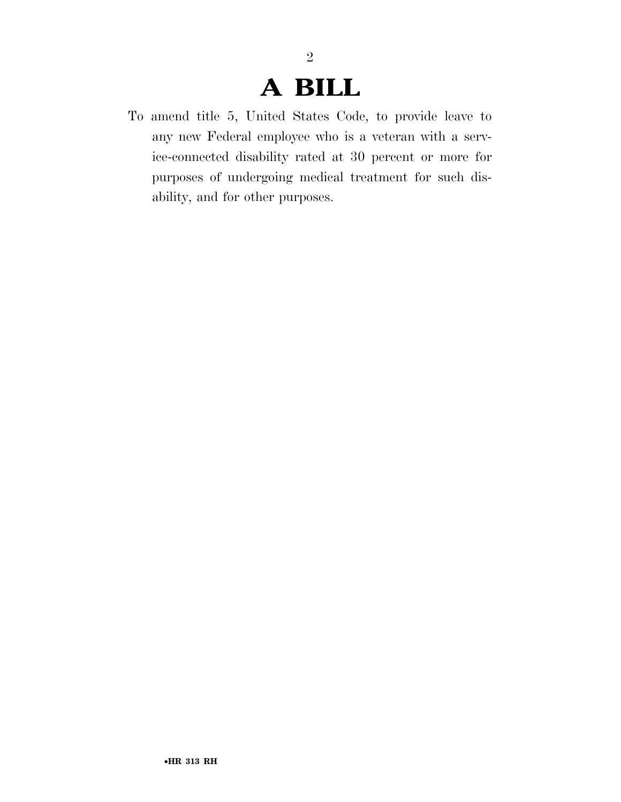## **A BILL**

2

To amend title 5, United States Code, to provide leave to any new Federal employee who is a veteran with a service-connected disability rated at 30 percent or more for purposes of undergoing medical treatment for such disability, and for other purposes.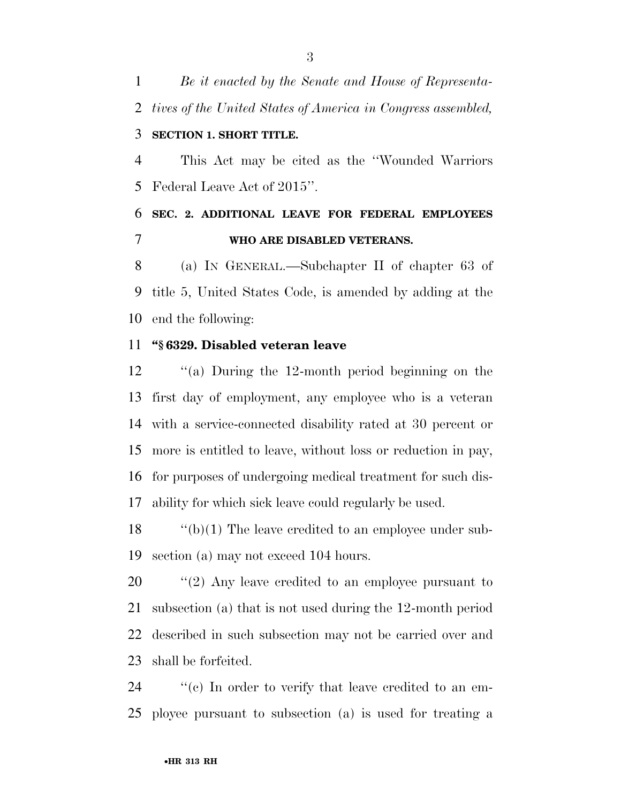*Be it enacted by the Senate and House of Representa-tives of the United States of America in Congress assembled,* 

### **SECTION 1. SHORT TITLE.**

 This Act may be cited as the ''Wounded Warriors Federal Leave Act of 2015''.

## **SEC. 2. ADDITIONAL LEAVE FOR FEDERAL EMPLOYEES WHO ARE DISABLED VETERANS.**

 (a) IN GENERAL.—Subchapter II of chapter 63 of title 5, United States Code, is amended by adding at the end the following:

### **''§ 6329. Disabled veteran leave**

 ''(a) During the 12-month period beginning on the first day of employment, any employee who is a veteran with a service-connected disability rated at 30 percent or more is entitled to leave, without loss or reduction in pay, for purposes of undergoing medical treatment for such dis-ability for which sick leave could regularly be used.

 ''(b)(1) The leave credited to an employee under sub-section (a) may not exceed 104 hours.

 $\frac{1}{2}$  (2) Any leave credited to an employee pursuant to subsection (a) that is not used during the 12-month period described in such subsection may not be carried over and shall be forfeited.

24  $\%$  (c) In order to verify that leave credited to an em-ployee pursuant to subsection (a) is used for treating a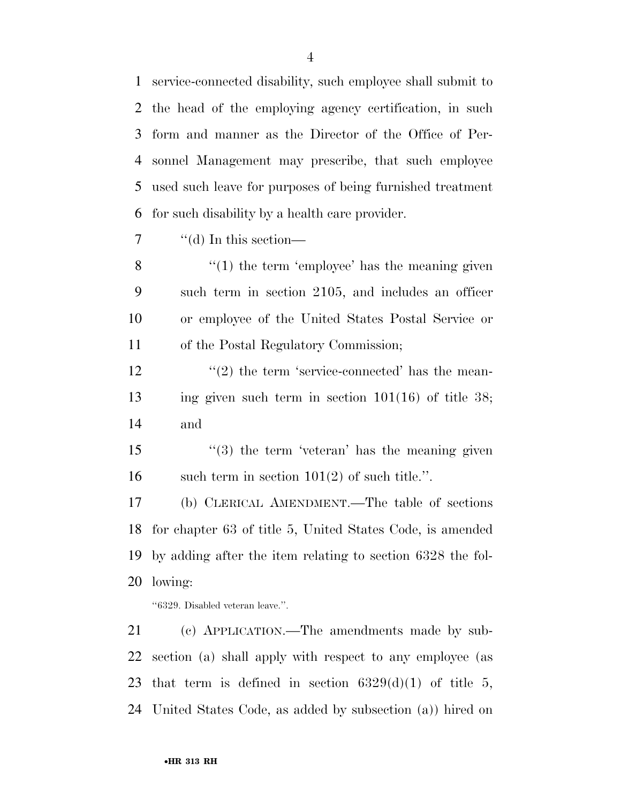service-connected disability, such employee shall submit to the head of the employing agency certification, in such form and manner as the Director of the Office of Per- sonnel Management may prescribe, that such employee used such leave for purposes of being furnished treatment for such disability by a health care provider.

''(d) In this section—

 ''(1) the term 'employee' has the meaning given such term in section 2105, and includes an officer or employee of the United States Postal Service or of the Postal Regulatory Commission;

 $\frac{12}{2}$  ''(2) the term 'service-connected' has the mean- ing given such term in section 101(16) of title 38; and

15 ''(3) the term 'veteran' has the meaning given 16 such term in section  $101(2)$  of such title.".

 (b) CLERICAL AMENDMENT.—The table of sections for chapter 63 of title 5, United States Code, is amended by adding after the item relating to section 6328 the fol-lowing:

''6329. Disabled veteran leave.''.

 (c) APPLICATION.—The amendments made by sub- section (a) shall apply with respect to any employee (as 23 that term is defined in section  $6329(d)(1)$  of title 5, United States Code, as added by subsection (a)) hired on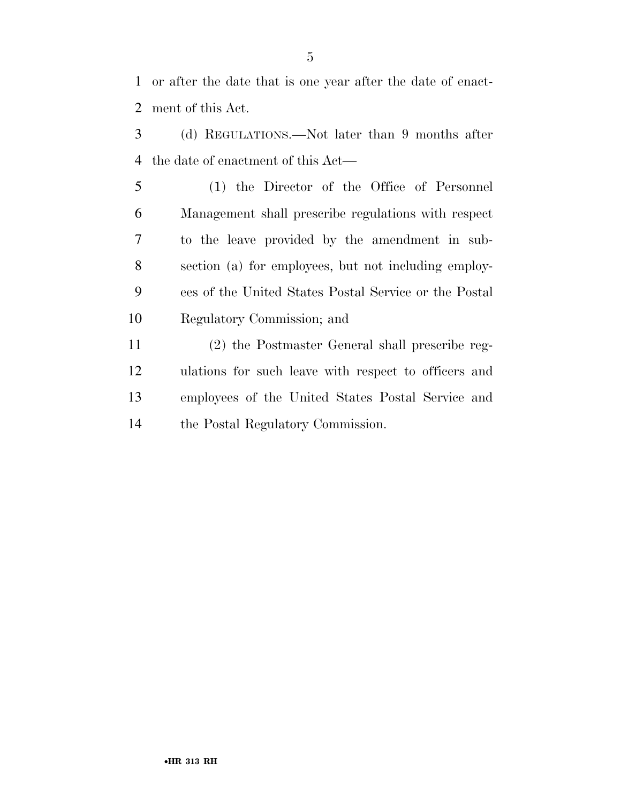or after the date that is one year after the date of enact-ment of this Act.

- (d) REGULATIONS.—Not later than 9 months after the date of enactment of this Act—
- (1) the Director of the Office of Personnel Management shall prescribe regulations with respect to the leave provided by the amendment in sub- section (a) for employees, but not including employ- ees of the United States Postal Service or the Postal Regulatory Commission; and
- (2) the Postmaster General shall prescribe reg- ulations for such leave with respect to officers and employees of the United States Postal Service and the Postal Regulatory Commission.